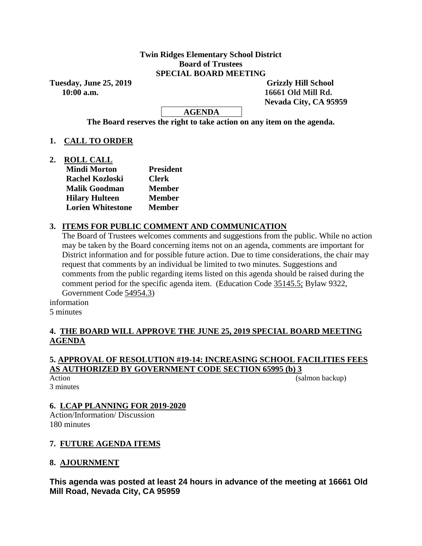#### **Twin Ridges Elementary School District Board of Trustees SPECIAL BOARD MEETING**

**Tuesday, June 25, 2019 Grizzly Hill School 10:00 a.m. 16661 Old Mill Rd.**

 **Nevada City, CA 95959**

**AGENDA**

**The Board reserves the right to take action on any item on the agenda.**

## **1. CALL TO ORDER**

**2. ROLL CALL**

| <b>Mindi Morton</b>      | <b>President</b> |
|--------------------------|------------------|
| <b>Rachel Kozloski</b>   | <b>Clerk</b>     |
| <b>Malik Goodman</b>     | <b>Member</b>    |
| <b>Hilary Hulteen</b>    | <b>Member</b>    |
| <b>Lorien Whitestone</b> | <b>Member</b>    |
|                          |                  |

# **3. ITEMS FOR PUBLIC COMMENT AND COMMUNICATION**

The Board of Trustees welcomes comments and suggestions from the public. While no action may be taken by the Board concerning items not on an agenda, comments are important for District information and for possible future action. Due to time considerations, the chair may request that comments by an individual be limited to two minutes. Suggestions and comments from the public regarding items listed on this agenda should be raised during the comment period for the specific agenda item. (Education Code 35145.5; Bylaw 9322, Government Code 54954.3)

information

5 minutes

## **4. THE BOARD WILL APPROVE THE JUNE 25, 2019 SPECIAL BOARD MEETING AGENDA**

### **5. APPROVAL OF RESOLUTION #19-14: INCREASING SCHOOL FACILITIES FEES AS AUTHORIZED BY GOVERNMENT CODE SECTION 65995 (b) 3**

3 minutes

Action (salmon backup) (salmon backup)

## **6. LCAP PLANNING FOR 2019-2020**

Action/Information/ Discussion 180 minutes

## **7. FUTURE AGENDA ITEMS**

## **8. AJOURNMENT**

**This agenda was posted at least 24 hours in advance of the meeting at 16661 Old Mill Road, Nevada City, CA 95959**